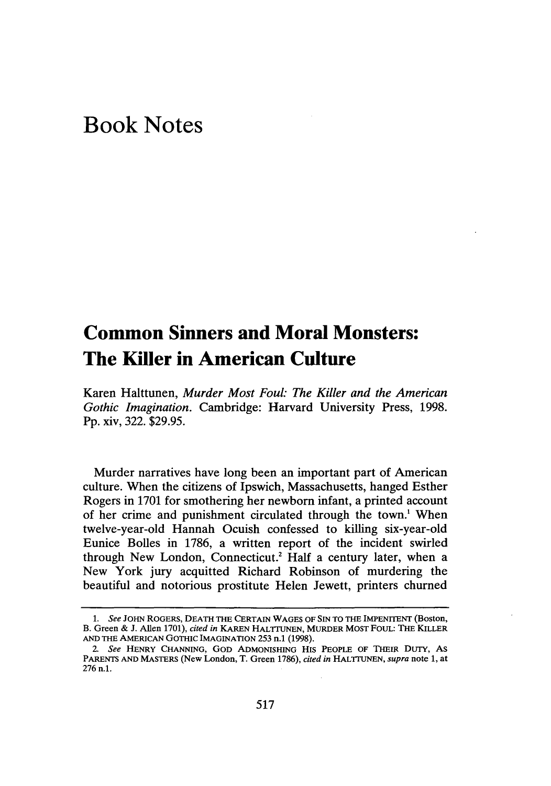## **Book Notes**

## **Common Sinners and Moral Monsters: The Killer in American Culture**

Karen Halttunen, *Murder Most Foul: The Killer and the American Gothic Imagination.* Cambridge: Harvard University Press, 1998. Pp. xiv, 322. \$29.95.

Murder narratives have long been an important part of American culture. When the citizens of Ipswich, Massachusetts, hanged Esther Rogers in 1701 for smothering her newborn infant, a printed account of her crime and punishment circulated through the town.' When twelve-year-old Hannah Ocuish confessed to killing six-year-old Eunice Bolles in 1786, a written report of the incident swirled through New London, Connecticut.<sup>2</sup> Half a century later, when a New York jury acquitted Richard Robinson of murdering the beautiful and notorious prostitute Helen Jewett, printers churned

*<sup>1.</sup> See* JOHN ROGERS, **DEATH** THE **CERTAIN WAGES** OF **SIN** TO **THE** IMPENITENT (Boston, B. Green **&** J. Allen **1701),** *cited in* KAREN HALTrUNEN, MURDER MOST **FOUL:** THE KILLER **AND THE AMERICAN** GOTHIC IMAGINATION 253 n.1 (1998).

*<sup>2.</sup> See* HENRY **CHANNING, GOD** ADMONISHING HIS PEOPLE OF **THEIR** DUTY, AS PARENTS **AND** MASTERS (New London, T. Green **1786),** *cited in* HALTrUNEN, *supra* note **1,** at **276** n.1.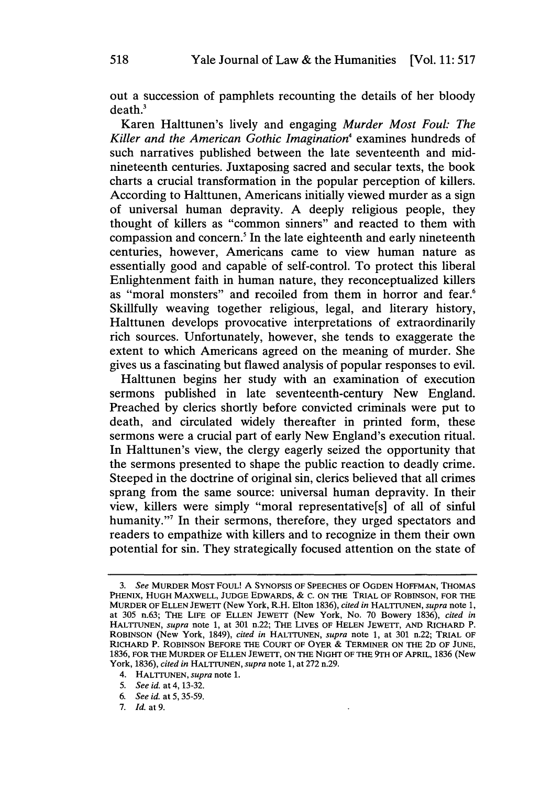out a succession of pamphlets recounting the details of her bloody death.'

Karen Halttunen's lively and engaging *Murder Most Foul: The* Killer and the American Gothic Imagination<sup>4</sup> examines hundreds of such narratives published between the late seventeenth and midnineteenth centuries. Juxtaposing sacred and secular texts, the book charts a crucial transformation in the popular perception of killers. According to Halttunen, Americans initially viewed murder as a sign of universal human depravity. A deeply religious people, they thought of killers as "common sinners" and reacted to them with compassion and concern.' In the late eighteenth and early nineteenth centuries, however, Americans came to view human nature as essentially good and capable of self-control. To protect this liberal Enlightenment faith in human nature, they reconceptualized killers as "moral monsters" and recoiled from them in horror and fear.<sup>6</sup> Skillfully weaving together religious, legal, and literary history, Halttunen develops provocative interpretations of extraordinarily rich sources. Unfortunately, however, she tends to exaggerate the extent to which Americans agreed on the meaning of murder. She gives us a fascinating but flawed analysis of popular responses to evil.

Halttunen begins her study with an examination of execution sermons published in late seventeenth-century New England. Preached by clerics shortly before convicted criminals were put to death, and circulated widely thereafter in printed form, these sermons were a crucial part of early New England's execution ritual. In Halttunen's view, the clergy eagerly seized the opportunity that the sermons presented to shape the public reaction to deadly crime. Steeped in the doctrine of original sin, clerics believed that all crimes sprang from the same source: universal human depravity. In their view, killers were simply "moral representative[s] of all of sinful humanity."<sup>7</sup> In their sermons, therefore, they urged spectators and readers to empathize with killers and to recognize in them their own potential for sin. They strategically focused attention on the state of

*<sup>3.</sup> See* MURDER MOST FOUL! **A** SYNOPSIS OF **SPEECHES** OF **OGDEN HOFFMAN, THOMAS PHENIX, HUGH** MAXWELL, **JUDGE** EDWARDS, **& C. ON** THE TRIAL OF **ROBINSON,** FOR THE MURDER OF **ELLEN JEWETT** (New York, R.H. Elton **1836),** *cited in* HALTrUNEN, *supra* note **1,** at 305 n.63; THE LIFE OF **ELLEN** JEWETr (New York, No. **70** Bowery **1836),** *cited in* HALTrUNEN, *supra* note **1,** at **301** n.22; THE LIvES OF **HELEN JEWETI, AND** RICHARD P. **ROBINSON** (New York, 1849), *cited in* HALTrUNEN, *supra* note **1,** at **301** n.22; TRIAL OF RICHARD P. **ROBINSON** BEFORE THE **COURT** OF OYER **&** TERMINER **ON** THE **2D** OF **JUNE, 1836,** FOR THE MURDER OF **ELLEN** JEWETT, **ON** THE NIGHT OF THE 9TH OF APRIL, **1836** (New York, **1836),** *cited in* **HALTIUNEN,** *supra* note **1,** at **272** n.29.

<sup>4.</sup> HALTrUNEN, *supra* note **1.**

*<sup>5.</sup> See id.* at 4, 13-32.

*<sup>6.</sup> See id.* at 5, 35-59.

**<sup>7.</sup>** *Id.* at 9.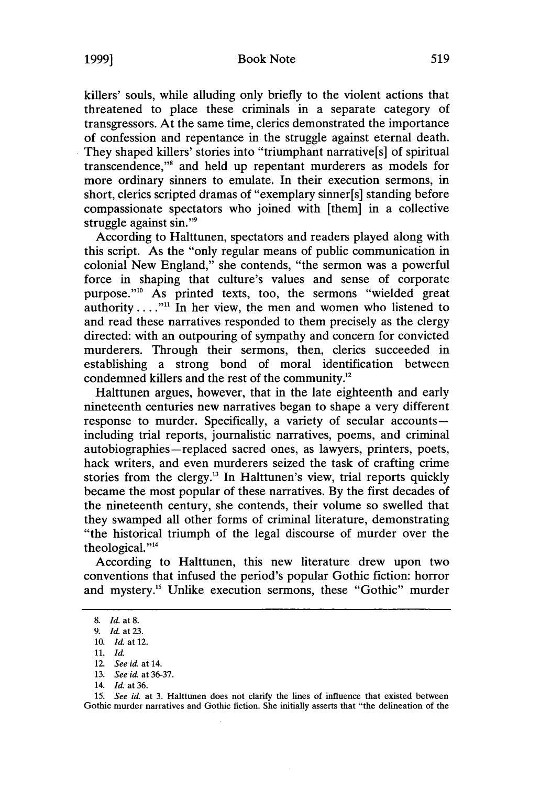killers' souls, while alluding only briefly to the violent actions that threatened to place these criminals in a separate category of transgressors. At the same time, clerics demonstrated the importance of confession and repentance in the struggle against eternal death. They shaped killers' stories into "triumphant narrative[s] of spiritual transcendence,"' and held up repentant murderers as models for more ordinary sinners to emulate. In their execution sermons, in short, clerics scripted dramas of "exemplary sinner[s] standing before compassionate spectators who joined with [them] in a collective struggle against sin."9

According to Halttunen, spectators and readers played along with this script. As the "only regular means of public communication in colonial New England," she contends, "the sermon was a powerful force in shaping that culture's values and sense of corporate purpose."<sup>10</sup> As printed texts, too, the sermons "wielded great authority **.... ""** In her view, the men and women who listened to and read these narratives responded to them precisely as the clergy directed: with an outpouring of sympathy and concern for convicted murderers. Through their sermons, then, clerics succeeded in establishing a strong bond of moral identification between condemned killers and the rest of the community.

Halttunen argues, however, that in the late eighteenth and early nineteenth centuries new narratives began to shape a very different response to murder. Specifically, a variety of secular accountsincluding trial reports, journalistic narratives, poems, and criminal autobiographies-replaced sacred ones, as lawyers, printers, poets, hack writers, and even murderers seized the task of crafting crime stories from the clergy.<sup>13</sup> In Halttunen's view, trial reports quickly became the most popular of these narratives. By the first decades of the nineteenth century, she contends, their volume so swelled that they swamped all other forms of criminal literature, demonstrating "the historical triumph of the legal discourse of murder over the theological."<sup>14</sup>

According to Halttunen, this new literature drew upon two conventions that infused the period's popular Gothic fiction: horror and mystery.<sup>15</sup> Unlike execution sermons, these "Gothic" murder

**15.** *See id.* at 3. Halttunen does not clarify the lines of influence that existed between Gothic murder narratives and Gothic fiction. She initially asserts that "the delineation of the

<sup>8.</sup> *Id.* at 8.

<sup>9.</sup> *Id.* at23.

<sup>10.</sup> *Id.* at 12.

<sup>11.</sup> *Id.*

<sup>12.</sup> *See id.* at 14.

<sup>13.</sup> *See id.* at 36-37.

<sup>14.</sup> *Id.* at 36.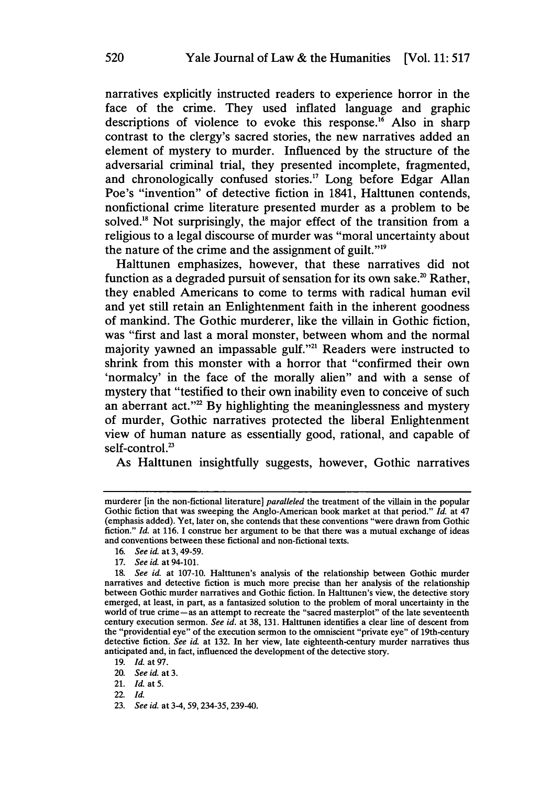narratives explicitly instructed readers to experience horror in the face of the crime. They used inflated language and graphic descriptions of violence to evoke this response.<sup>16</sup> Also in sharp contrast to the clergy's sacred stories, the new narratives added an element of mystery to murder. Influenced by the structure of the adversarial criminal trial, they presented incomplete, fragmented, and chronologically confused stories.<sup>17</sup> Long before Edgar Allan Poe's "invention" of detective fiction in 1841, Halttunen contends, nonfictional crime literature presented murder as a problem to be solved.<sup>18</sup> Not surprisingly, the major effect of the transition from a religious to a legal discourse of murder was "moral uncertainty about the nature of the crime and the assignment of guilt."19

Halttunen emphasizes, however, that these narratives did not function as a degraded pursuit of sensation for its own sake.<sup>20</sup> Rather, they enabled Americans to come to terms with radical human evil and yet still retain an Enlightenment faith in the inherent goodness of mankind. The Gothic murderer, like the villain in Gothic fiction, was "first and last a moral monster, between whom and the normal majority yawned an impassable gulf."<sup>21</sup> Readers were instructed to shrink from this monster with a horror that "confirmed their own 'normalcy' in the face of the morally alien" and with a sense of mystery that "testified to their own inability even to conceive of such an aberrant act."<sup>22</sup> By highlighting the meaninglessness and mystery of murder, Gothic narratives protected the liberal Enlightenment view of human nature as essentially good, rational, and capable of self-control.<sup>23</sup>

As Halttunen insightfully suggests, however, Gothic narratives

murderer [in the non-fictional literature] *paralleled* the treatment of the villain in the popular Gothic fiction that was sweeping the Anglo-American book market at that period." *Id.* at 47 (emphasis added). Yet, later on, she contends that these conventions "were drawn from Gothic fiction." *Id.* at **116. I** construe her argument to be that there was a mutual exchange of ideas and conventions between these fictional and non-fictional texts.

**<sup>16.</sup>** *See id.* at **3, 49-59.**

**<sup>17.</sup>** *See id.* at 94-101.

*<sup>18.</sup> See id.* at **107-10.** Halttunen's analysis of the relationship between Gothic murder narratives and detective fiction is much more precise than her analysis of the relationship between Gothic murder narratives and Gothic fiction. In Halttunen's view, the detective story emerged, at least, in part, as a fantasized solution to the problem of moral uncertainty in the world of true crime-as an attempt to recreate the "sacred masterplot" of the late seventeenth century execution sermon. *See id.* at **38, 131.** Halttunen identifies a clear line of descent from the "providential eye" of the execution sermon to the omniscient "private eye" of 19th-century detective fiction. *See id* at **132.** In her view, late eighteenth-century murder narratives thus anticipated and, in fact, influenced the development of the detective story.

**<sup>19.</sup>** *Id.* at **97.**

<sup>20.</sup> *See id.* at **3.**

<sup>21.</sup> *Id.* **at 5.**

<sup>22.</sup> *Id.*

**<sup>23.</sup>** *See id.* at 3-4, **59,** 234-35, 239-40.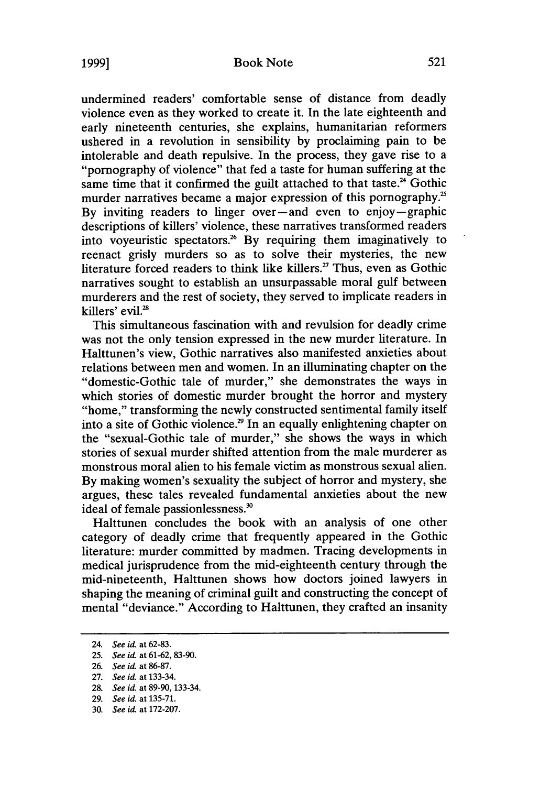## Book Note

**1999]**

undermined readers' comfortable sense of distance from deadly violence even as they worked to create it. In the late eighteenth and early nineteenth centuries, she explains, humanitarian reformers ushered in a revolution in sensibility by proclaiming pain to be intolerable and death repulsive. In the process, they gave rise to a "pornography of violence" that fed a taste for human suffering at the same time that it confirmed the guilt attached to that taste.<sup>24</sup> Gothic murder narratives became a major expression of this pornography.<sup>25</sup> By inviting readers to linger over-and even to enjoy-graphic descriptions of killers' violence, these narratives transformed readers into voyeuristic spectators.26 By requiring them imaginatively to reenact grisly murders so as to solve their mysteries, the new literature forced readers to think like killers.<sup>27</sup> Thus, even as Gothic narratives sought to establish an unsurpassable moral gulf between murderers and the rest of society, they served to implicate readers in killers' evil.<sup>28</sup>

This simultaneous fascination with and revulsion for deadly crime was not the only tension expressed in the new murder literature. In Halttunen's view, Gothic narratives also manifested anxieties about relations between men and women. In an illuminating chapter on the "domestic-Gothic tale of murder," she demonstrates the ways in which stories of domestic murder brought the horror and mystery "home," transforming the newly constructed sentimental family itself into a site of Gothic violence.<sup>29</sup> In an equally enlightening chapter on the "sexual-Gothic tale of murder," she shows the ways in which stories of sexual murder shifted attention from the male murderer as monstrous moral alien to his female victim as monstrous sexual alien. By making women's sexuality the subject of horror and mystery, she argues, these tales revealed fundamental anxieties about the new ideal of female passionlessness.'

Halttunen concludes the book with an analysis of one other category of deadly crime that frequently appeared in the Gothic literature: murder committed by madmen. Tracing developments in medical jurisprudence from the mid-eighteenth century through the mid-nineteenth, Halttunen shows how doctors joined lawyers in shaping the meaning of criminal guilt and constructing the concept of mental "deviance." According to Halttunen, they crafted an insanity

<sup>24.</sup> *See id.* at 62-83.

<sup>25.</sup> *See id.* at 61-62, 83-90.

<sup>26.</sup> *See id.* at 86-87.

<sup>27.</sup> *See id.* at 133-34.

<sup>28.</sup> *See id.* at 89-90, 133-34.

<sup>29.</sup> *See id.* at 135-71.

<sup>30.</sup> *See id.* at 172-207.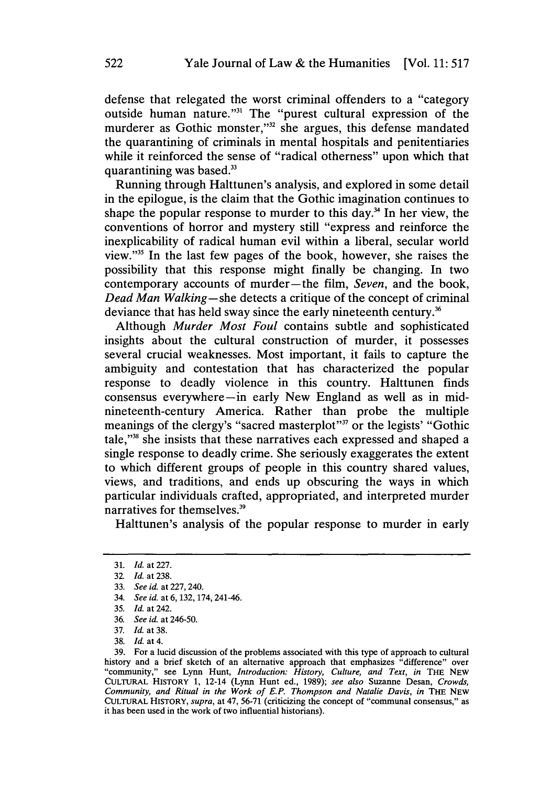defense that relegated the worst criminal offenders to a "category outside human nature."<sup>31</sup> The "purest cultural expression of the murderer as Gothic monster,"<sup>32</sup> she argues, this defense mandated the quarantining of criminals in mental hospitals and penitentiaries while it reinforced the sense of "radical otherness" upon which that quarantining was based.<sup>33</sup>

Running through Halttunen's analysis, and explored in some detail in the epilogue, is the claim that the Gothic imagination continues to shape the popular response to murder to this day.<sup>34</sup> In her view, the conventions of horror and mystery still "express and reinforce the inexplicability of radical human evil within a liberal, secular world view."35 In the last few pages of the book, however, she raises the possibility that this response might finally be changing. In two contemporary accounts of murder-the film, *Seven,* and the book, *Dead Man Walking-she* detects a critique of the concept of criminal deviance that has held sway since the early nineteenth century.<sup>36</sup>

Although *Murder Most Foul* contains subtle and sophisticated insights about the cultural construction of murder, it possesses several crucial weaknesses. Most important, it fails to capture the ambiguity and contestation that has characterized the popular response to deadly violence in this country. Halttunen finds consensus everywhere-in early New England as well as in midnineteenth-century America. Rather than probe the multiple meanings of the clergy's "sacred masterplot"<sup>37</sup> or the legists' "Gothic tale,"38 she insists that these narratives each expressed and shaped a single response to deadly crime. She seriously exaggerates the extent to which different groups of people in this country shared values, views, and traditions, and ends up obscuring the ways in which particular individuals crafted, appropriated, and interpreted murder narratives for themselves.<sup>39</sup>

Halttunen's analysis of the popular response to murder in early

<sup>31.</sup> *Id.* at 227.

<sup>32.</sup> *Id.* at 238.

<sup>33.</sup> *See id.* at 227, 240.

<sup>34.</sup> *See id.* at 6, 132, 174, 241-46.

<sup>35.</sup> *Id.* at 242.

<sup>36.</sup> *See id.* at 246-50.

<sup>37.</sup> *Id.* at 38.

<sup>38.</sup> *Id.* at 4.

<sup>39.</sup> For a lucid discussion of the problems associated with this type of approach to cultural history and a brief sketch of an alternative approach that emphasizes "difference" over history and a brief sketch of an alternative approach that emphasizes <sup>a</sup>difference" over<br>"community," see Lynn Hunt, *Introduction: History, Culture, and Text, in* THE NEW CULTURAL HISTORY **1,** 12-14 (Lynn Hunt ed., 1989); *see also* Suzanne Desan, *Crowds, Community, and Ritual in the Work of E.P. Thompson and Natalie Davis, in* THE NEW CULTURAL HISTORY, *supra,* at 47, **56-71** (criticizing the concept of "communal consensus," as it has been used in the work of two influential historians).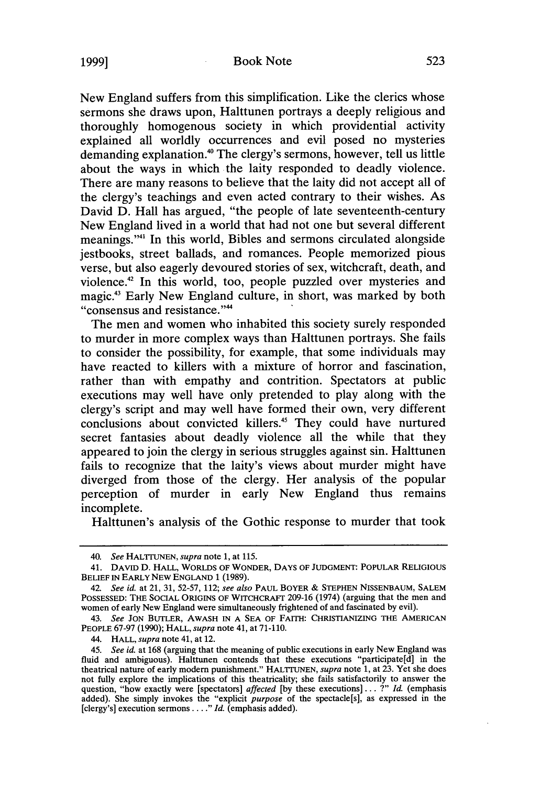**1999]**

New England suffers from this simplification. Like the clerics whose sermons she draws upon, Halttunen portrays a deeply religious and thoroughly homogenous society in which providential activity explained all worldly occurrences and evil posed no mysteries demanding explanation.<sup>40</sup> The clergy's sermons, however, tell us little about the ways in which the laity responded to deadly violence. There are many reasons to believe that the laity did not accept all of the clergy's teachings and even acted contrary to their wishes. As David D. Hall has argued, "the people of late seventeenth-century New England lived in a world that had not one but several different meanings."<sup>41</sup> In this world, Bibles and sermons circulated alongside jestbooks, street ballads, and romances. People memorized pious verse, but also eagerly devoured stories of sex, witchcraft, death, and violence.42 In this world, too, people puzzled over mysteries and magic.43 Early New England culture, in short, was marked by both "consensus and resistance."<sup>44</sup>

The men and women who inhabited this society surely responded to murder in more complex ways than Halttunen portrays. She fails to consider the possibility, for example, that some individuals may have reacted to killers with a mixture of horror and fascination, rather than with empathy and contrition. Spectators at public executions may well have only pretended to play along with the clergy's script and may well have formed their own, very different conclusions about convicted killers.<sup>45</sup> They could have nurtured secret fantasies about deadly violence all the while that they appeared to join the clergy in serious struggles against sin. Halttunen fails to recognize that the laity's views about murder might have diverged from those of the clergy. Her analysis of the popular perception of murder in early New England thus remains incomplete.

Halttunen's analysis of the Gothic response to murder that took

<sup>40.</sup> *See* HALTrUNEN, *supra* note 1, at 115.

<sup>41.</sup> DAvID D. HALL, WORLDS OF WONDER, DAYS OF JUDGMENT: POPULAR RELIGIOUS BELIEF IN EARLY NEW ENGLAND **1** (1989).

<sup>42.</sup> *See id.* at 21, 31, 52-57, 112; *see also* PAUL BOYER & STEPHEN NISSENBAUM, SALEM POSSESSED: THE SOCIAL ORIGINS OF WITCHCRAFT 209-16 (1974) (arguing that the men and women of early New England were simultaneously frightened of and fascinated by evil).

<sup>43.</sup> *See* JON BUTLER, AWASH IN A SEA OF FAITH: CHRISTIANIZING THE AMERICAN PEOPLE 67-97 (1990); HALL, *supra* note 41, at 71-110.

<sup>44.</sup> HALL, *supra* note 41, at 12.

<sup>45.</sup> *See id.* at 168 (arguing that the meaning of public executions in early New England was fluid and ambiguous). Halttunen contends that these executions "participate[d] in the theatrical nature of early modem punishment." HALTTUNEN, *supra* note **1,** at **23.** Yet she does not fully explore the implications of this theatricality; she fails satisfactorily to answer the question, "how exactly were [spectators] *affected* **[by** these executions] ... ?" *Id.* (emphasis added). She simply invokes the "explicit *purpose* of the spectacle[s], as expressed in the [clergy's] execution sermons **.** *Id. I.."* (emphasis added).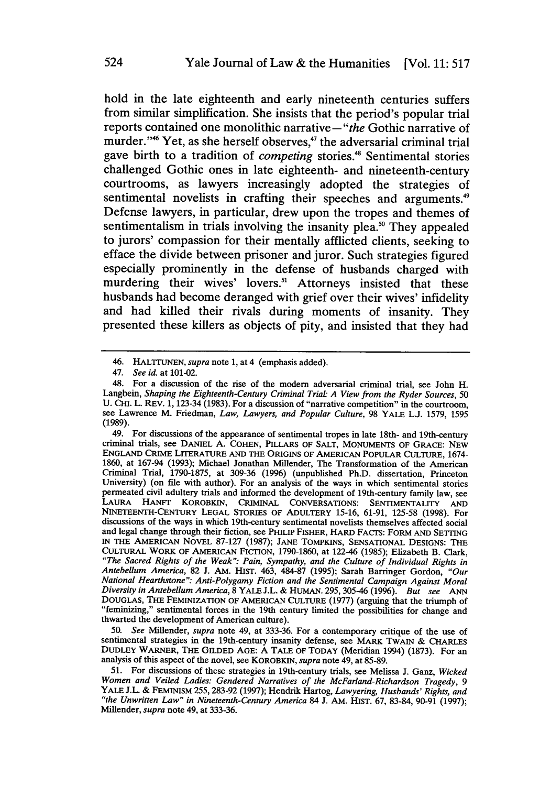hold in the late eighteenth and early nineteenth centuries suffers from similar simplification. She insists that the period's popular trial reports contained one monolithic narrative-"the Gothic narrative of murder."<sup>46</sup> Yet, as she herself observes,<sup>47</sup> the adversarial criminal trial gave birth to a tradition of *competing* stories.<sup>48</sup> Sentimental stories challenged Gothic ones in late eighteenth- and nineteenth-century courtrooms, as lawyers increasingly adopted the strategies of sentimental novelists in crafting their speeches and arguments.<sup>49</sup> Defense lawyers, in particular, drew upon the tropes and themes of sentimentalism in trials involving the insanity plea.<sup>50</sup> They appealed to jurors' compassion for their mentally afflicted clients, seeking to efface the divide between prisoner and juror. Such strategies figured especially prominently in the defense of husbands charged with murdering their wives' lovers.<sup>51</sup> Attorneys insisted that these husbands had become deranged with grief over their wives' infidelity and had killed their rivals during moments of insanity. They presented these killers as objects of pity, and insisted that they had

49. For discussions of the appearance of sentimental tropes in late 18th- and 19th-century criminal trials, see DANIEL A. COHEN, PILLARS OF SALT, MONUMENTS OF GRACE: NEW ENGLAND CRIME LITERATURE **AND** THE ORIGINS OF AMERICAN POPULAR CULTURE, 1674- 1860, at 167-94 (1993); Michael Jonathan Millender, The Transformation of the American Criminal Trial, 1790-1875, at 309-36 (1996) (unpublished Ph.D. dissertation, Princeton University) (on file with author). For an analysis of the ways in which sentimental stories permeated civil adultery trials and informed the development of 19th-century family law, see permeated civil adultery trials and informed the development of 19th-century family law, see<br>LAURA HANFT KOROBKIN, CRIMINAL CONVERSATIONS: SENTIMENTALITY AND NINETEENTH-CENTURY LEGAL STORIES OF ADULTERY 15-16, 61-91, 125-58 (1998). For discussions of the ways in which 19th-century sentimental novelists themselves affected social and legal change through their fiction, see PHILIP FISHER, HARD FACTS: FORM AND SETTING IN THE AMERICAN NOVEL 87-127 (1987); JANE TOMPKINS, SENSATIONAL DESIGNS: THE CULTURAL WORK OF AMERICAN FICTION, 1790-1860, at 122-46 (1985); Elizabeth B. Clark, *"The Sacred Rights of the Weak": Pain, Sympathy, and the Culture of Individual Rights in Antebellum America,* 82 J. AM. HIST. 463, 484-87 (1995); Sarah Barringer Gordon, *"Our National Hearthstone": Anti-Polygamy Fiction and the Sentimental Campaign Against Moral Diversity in Antebellum America,* 8 YALE J.L. & HUMAN. 295,305-46 (1996). *But see ANN* DOUGLAS, THE FEMINIZATION OF AMERICAN CULTURE (1977) (arguing that the triumph of "feminizing," sentimental forces in the 19th century limited the possibilities for change and thwarted the development of American culture).

50. *See* Millender, *supra* note 49, at 333-36. For a contemporary critique of the use of sentimental strategies in the 19th-century insanity defense, see MARK TWAIN & CHARLES DUDLEY WARNER, THE GILDED AGE: A TALE OF TODAY (Meridian 1994) (1873). For an analysis of this aspect of the novel, see KOROBKIN, *supra* note 49, at 85-89. 51. For discussions of these strategies in 19th-century trials, see Melissa J. Ganz, *Wicked*

<sup>46.</sup> HALTI'UNEN, *supra* note 1, at 4 (emphasis added).

<sup>47.</sup> *See id.* at 101-02.

<sup>48.</sup> For a discussion of the rise of the modem adversarial criminal trial, see John H. Langbein, *Shaping the Eighteenth-Century Criminal Trial: A View from the Ryder Sources, 50* U. CHI. L. REV. 1, 123-34 (1983). For a discussion of "narrative competition" in the courtroom. **U.** CHI. L. REv. **1,** 123-34 **(1983).** For a discussion of "narrative competition" in the courtroom, see Lawrence M. Friedman, *Law, Lawyers, and Popular Culture,* **98** YALE **L.J. 1579,** <sup>1595</sup> (1989).

*Women and Veiled Ladies: Gendered Narratives of the McFarland-Richardson Tragedy, 9* YALE J.L. & FEMINISM 255, 283-92 (1997); Hendrik Hartog, *Lawyering, Husbands' Rights, and "the Unwritten Law" in Nineteenth-Century America* 84 J. AM. HIST. 67, 83-84, 90-91 (1997); Millender, *supra* note 49, at 333-36.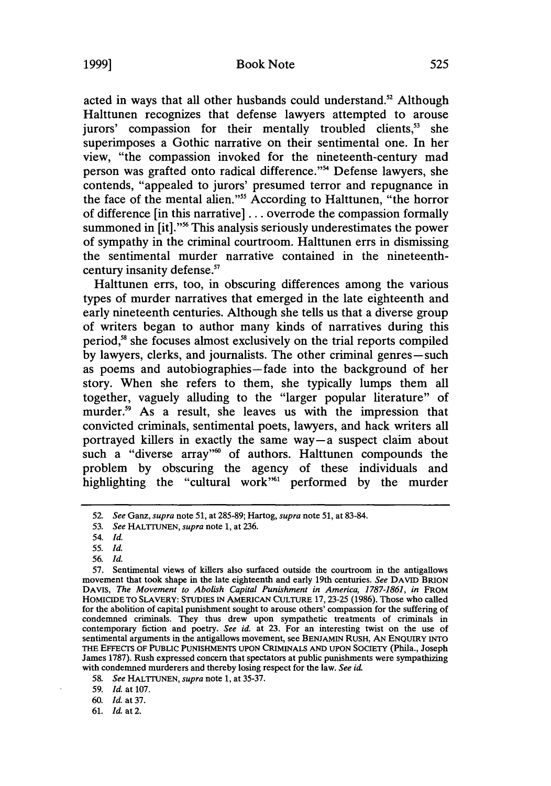acted in ways that all other husbands could understand.<sup>52</sup> Although

Halttunen recognizes that defense lawyers attempted to arouse jurors' compassion for their mentally troubled clients,<sup>53</sup> she superimposes a Gothic narrative on their sentimental one. In her view, "the compassion invoked for the nineteenth-century mad person was grafted onto radical difference."<sup>54</sup> Defense lawyers, she contends, "appealed to jurors' presumed terror and repugnance in the face of the mental alien."<sup>55</sup> According to Halttunen, "the horror of difference [in this narrative] ... overrode the compassion formally summoned in [it]."<sup>56</sup> This analysis seriously underestimates the power of sympathy in the criminal courtroom. Halttunen errs in dismissing the sentimental murder narrative contained in the nineteenthcentury insanity defense."

Halttunen errs, too, in obscuring differences among the various types of murder narratives that emerged in the late eighteenth and early nineteenth centuries. Although she tells us that a diverse group of writers began to author many kinds of narratives during this period," she focuses almost exclusively on the trial reports compiled by lawyers, clerks, and journalists. The other criminal genres-such as poems and autobiographies-fade into the background of her story. When she refers to them, she typically lumps them all together, vaguely alluding to the "larger popular literature" of murder.<sup>59</sup> As a result, she leaves us with the impression that convicted criminals, sentimental poets, lawyers, and hack writers all portrayed killers in exactly the same way-a suspect claim about such a "diverse array" $\omega$  of authors. Halttunen compounds the problem by obscuring the agency of these individuals and highlighting the "cultural work"<sup>1</sup> performed by the murder

59. *Id.* at 107.

<sup>52.</sup> *See Ganz, supra* note 51, at 285-89; Hartog, *supra* note 51, at 83-84.

<sup>53.</sup> *See* HALTrUNEN, *supra* note 1, at 236.

<sup>54.</sup> *Id.*

<sup>55.</sup> *Id.*

<sup>56.</sup> *Id.*

<sup>57.</sup> Sentimental views of killers also surfaced outside the courtroom in the antigallows movement that took shape in the late eighteenth and early 19th centuries. *See* DAVID BRION DAVIS, The Movement to Abolish Capital Punishment in America, 1787-1861, in FROM HOMICIDE TO SLAVERY: STUDIES IN AMERICAN CULTURE 17,23-25 **(1986).** Those who called for the abolition of capital punishment sought to arouse others' compassion for the suffering of condemned criminals. They thus drew upon sympathetic treatments of criminals in contemporary fiction and poetry. *See id.* at 23. For an interesting twist on the use of sentimental arguments in the antigallows movement, see BENJAMIN RUSH, AN ENQUIRY INTO THE EFFECTS OF PUBLIC PUNISHMENTS **UPON** CRIMINALS AND **UPON** SOCIETY (Phila., Joseph James **1787).** Rush expressed concern that spectators at public punishments were sympathizing with condemned murderers and thereby losing respect for the law. *See* id

**<sup>58.</sup>** *See* HALTrUNEN, *supra* note 1, at 35-37.

**<sup>60.</sup>** *Id.* at **37.**

**<sup>61.</sup>** Id. at 2.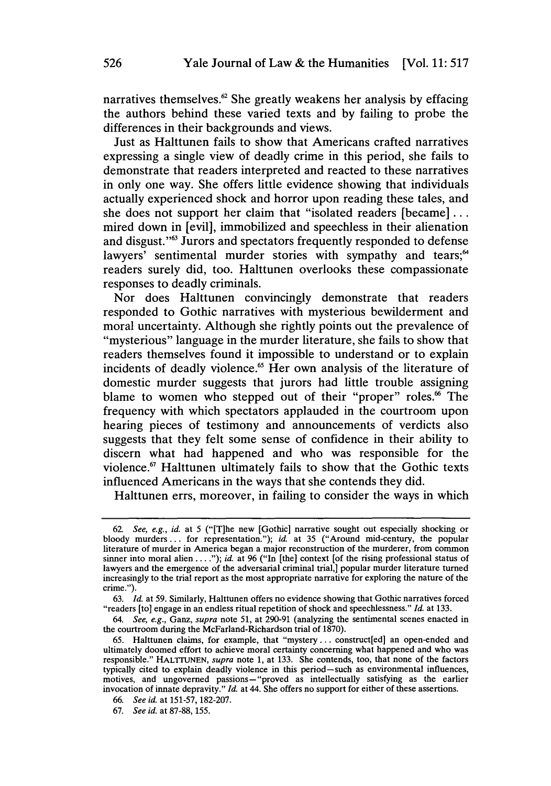narratives themselves.62 She greatly weakens her analysis **by** effacing the authors behind these varied texts and **by** failing to probe the differences in their backgrounds and views.

Just as Halttunen fails to show that Americans crafted narratives expressing a single view of deadly crime in this period, she fails to demonstrate that readers interpreted and reacted to these narratives in only one way. She offers little evidence showing that individuals actually experienced shock and horror upon reading these tales, and she does not support her claim that "isolated readers [became]... mired down in [evil], immobilized and speechless in their alienation and disgust."<sup>63</sup> Jurors and spectators frequently responded to defense lawyers' sentimental murder stories with sympathy and tears;<sup>64</sup> readers surely did, too. Halttunen overlooks these compassionate responses to deadly criminals.

Nor does Halttunen convincingly demonstrate that readers responded to Gothic narratives with mysterious bewilderment and moral uncertainty. Although she rightly points out the prevalence of "mysterious" language in the murder literature, she fails to show that readers themselves found it impossible to understand or to explain incidents of deadly violence.<sup>65</sup> Her own analysis of the literature of domestic murder suggests that jurors had little trouble assigning blame to women who stepped out of their "proper" roles.<sup>66</sup> The frequency with which spectators applauded in the courtroom upon hearing pieces of testimony and announcements of verdicts also suggests that they felt some sense of confidence in their ability to discern what had happened and who was responsible for the violence.<sup>67</sup> Halttunen ultimately fails to show that the Gothic texts influenced Americans in the ways that she contends they did.

Halttunen errs, moreover, **in** failing to consider the ways in which

**<sup>62.</sup>** *See, e.g., id.* at **5** ("[T]he new [Gothic] narrative sought out especially shocking or bloody murders... for representation."); *id.* at **35** ("Around mid-century, the popular literature of murder in America began a major reconstruction of the murderer, from common sinner into moral alien **....");** *id.* at **96** ("In [the] context [of the rising professional status of lawyers and the emergence of the adversarial criminal trial, popular murder literature turned increasingly to the trial report as the most appropriate narrative for exploring the nature of the crime.").

**<sup>63.</sup>** *Id.* at **59.** Similarly, Halttunen offers no evidence showing that Gothic narratives forced "readers [to] engage in an endless ritual repetition of shock and speechlessness." *Id.* at **133.**

<sup>64.</sup> *See, e.g.,* Ganz, *supra* note **51,** at **290-91** (analyzing the sentimental scenes enacted in the courtroom during the McFarland-Richardson trial of **1870).**

**<sup>65.</sup>** Halttunen claims, for example, that "mystery... construct[ed] an open-ended and ultimately doomed effort to achieve moral certainty concerning what happened and who was responsible." **HALTrUNEN,** *supra* note **1,** at **133.** She contends, too, that none of the factors typically cited to explain deadly violence in this period-such as environmental influences, motives, and ungoverned passions- "proved as intellectually satisfying as the earlier invocation of innate depravity." *Id.* at 44. **She** offers no support for either of these assertions.

**<sup>66.</sup>** *See id.* at **151-57, 182-207.**

**<sup>67.</sup>** *See id.* at 87-88, 155.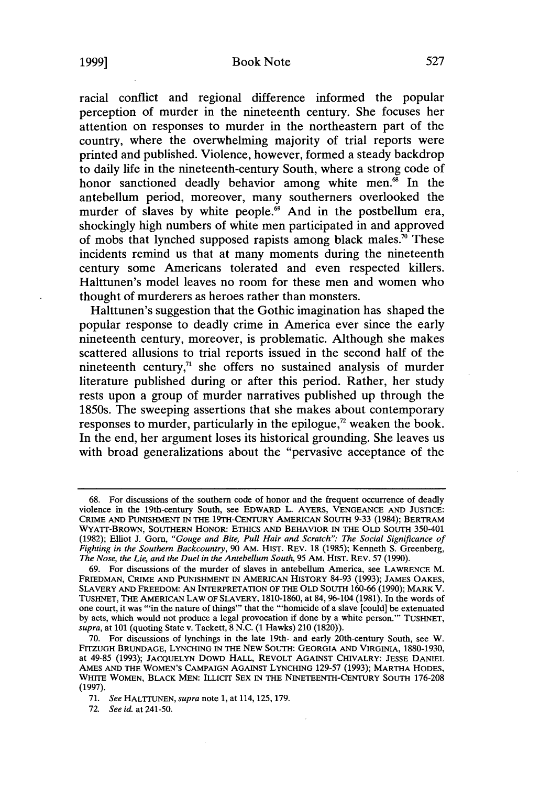## Book Note

racial conflict and regional difference informed the popular perception of murder in the nineteenth century. She focuses her attention on responses to murder in the northeastern part of the country, where the overwhelming majority of trial reports were printed and published. Violence, however, formed a steady backdrop to daily life in the nineteenth-century South, where a strong code of honor sanctioned deadly behavior among white men.<sup>68</sup> In the antebellum period, moreover, many southerners overlooked the murder of slaves by white people.<sup>69</sup> And in the postbellum era, shockingly high numbers of white men participated in and approved of mobs that lynched supposed rapists among black males.<sup>70</sup> These incidents remind us that at many moments during the nineteenth century some Americans tolerated and even respected killers. Halttunen's model leaves no room for these men and women who thought of murderers as heroes rather than monsters.

Halttunen's suggestion that the Gothic imagination has shaped the popular response to deadly crime in America ever since the early nineteenth century, moreover, is problematic. Although she makes scattered allusions to trial reports issued in the second half of the nineteenth century, $71$  she offers no sustained analysis of murder literature published during or after this period. Rather, her study rests upon a group of murder narratives published up through the 1850s. The sweeping assertions that she makes about contemporary responses to murder, particularly in the epilogue, $\alpha$ <sup>2</sup> weaken the book. In the end, her argument loses its historical grounding. She leaves us with broad generalizations about the "pervasive acceptance of the

**<sup>68.</sup>** For discussions of the southern code of honor and the frequent occurrence of deadly violence in the 19th-century South, see EDWARD L. AYERS, **VENGEANCE AND** JUSTICE: **CRIME AND PUNISHMENT** IN THE 19TH-CENTURY **AMERICAN** SOUTH 9-33 (1984); BERTRAM WYATT-BROWN, **SOUTHERN** HONOR: ETHICS **AND** BEHAVIOR **IN** THE OLD SOUTH 350-401 (1982); Elliot J. Gorn, *"Gouge and Bite, Pull Hair and Scratch": The Social Significance of Fighting in the Southern Backcountry,* 90 AM. HIST. REV. 18 (1985); Kenneth S. Greenberg, *The Nose, the Lie, and the Duel in the Antebellum South,* 95 AM. HIST. REV. 57 (1990).

<sup>69.</sup> For discussions of the murder of slaves in antebellum America, see LAWRENCE M. FRIEDMAN, CRIME **AND PUNISHMENT IN** AMERICAN HISTORY 84-93 (1993); JAMES OAKES, SLAVERY AND FREEDOM: AN INTERPRETATION OF THE OLD SOUTH 160-66 (1990); MARK V. TUSHNET, THE AMERICAN LAW OF SLAVERY, 1810-1860, at 84, 96-104 (1981). In the words of one court, it was "in the nature of things" that the "'homicide of a slave [could] be extenuated **by** acts, which would not produce a legal provocation if done **by** a white person."' TUSHNET, *supra,* at 101 (quoting State v. Tackett, 8 N.C. (1 Hawks) 210 (1820)).

**<sup>70.</sup>** For discussions of lynchings in the late 19th- and early 20th-century South, see W. FITZUGH BRUNDAGE, LYNCHING IN THE NEW SOUTH: GEORGIA AND VIRGINIA, 1880-1930, at 49-85 (1993); JACQUELYN DOWD HALL, REVOLT AGAINST CHIVALRY: JESSE DANIEL **AMES AND THE WOMEN'S** CAMPAIGN AGAINST **LYNCHING 129-57 (1993);** MARTHA **HODES,** WHITE WOMEN, BLACK **MEN:** ILLICIT **SEX** IN THE **NINETEENTH-CENTURY SOUTH** 176-208 **(1997).**

**<sup>71.</sup>** *See* HALTTUNEN, *supra* note **1,** at **114, 125,179.**

**<sup>72.</sup>** *See id.* at 241-50.